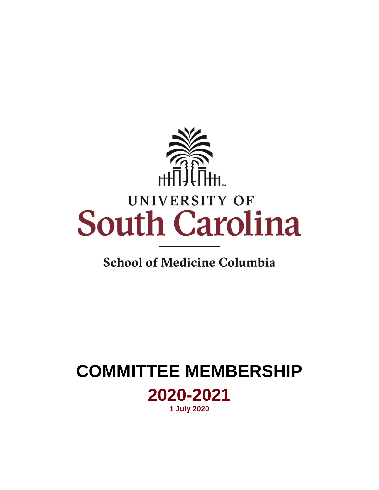

# **School of Medicine Columbia**

# **COMMITTEE MEMBERSHIP 2020-2021 1 July 2020**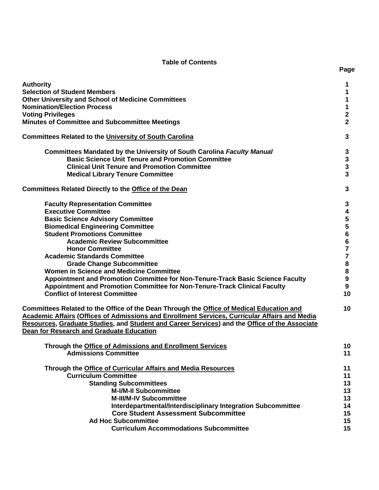# **Table of Contents**

| <b>Authority</b>                                                                                                                                                                                                                                                                                                                                                                                                                                                                                                                                                                                                                                                                                                                                                                                                                                                                                                                                   | 1                                                                                                                         |
|----------------------------------------------------------------------------------------------------------------------------------------------------------------------------------------------------------------------------------------------------------------------------------------------------------------------------------------------------------------------------------------------------------------------------------------------------------------------------------------------------------------------------------------------------------------------------------------------------------------------------------------------------------------------------------------------------------------------------------------------------------------------------------------------------------------------------------------------------------------------------------------------------------------------------------------------------|---------------------------------------------------------------------------------------------------------------------------|
| <b>Selection of Student Members</b>                                                                                                                                                                                                                                                                                                                                                                                                                                                                                                                                                                                                                                                                                                                                                                                                                                                                                                                | 1                                                                                                                         |
| <b>Other University and School of Medicine Committees</b>                                                                                                                                                                                                                                                                                                                                                                                                                                                                                                                                                                                                                                                                                                                                                                                                                                                                                          | 1                                                                                                                         |
| <b>Nomination/Election Process</b>                                                                                                                                                                                                                                                                                                                                                                                                                                                                                                                                                                                                                                                                                                                                                                                                                                                                                                                 | 1                                                                                                                         |
| <b>Voting Privileges</b>                                                                                                                                                                                                                                                                                                                                                                                                                                                                                                                                                                                                                                                                                                                                                                                                                                                                                                                           | $\mathbf 2$                                                                                                               |
| <b>Minutes of Committee and Subcommittee Meetings</b>                                                                                                                                                                                                                                                                                                                                                                                                                                                                                                                                                                                                                                                                                                                                                                                                                                                                                              | $\overline{2}$                                                                                                            |
| <b>Committees Related to the University of South Carolina</b>                                                                                                                                                                                                                                                                                                                                                                                                                                                                                                                                                                                                                                                                                                                                                                                                                                                                                      | 3                                                                                                                         |
| <b>Committees Mandated by the University of South Carolina Faculty Manual</b>                                                                                                                                                                                                                                                                                                                                                                                                                                                                                                                                                                                                                                                                                                                                                                                                                                                                      | 3                                                                                                                         |
| <b>Basic Science Unit Tenure and Promotion Committee</b>                                                                                                                                                                                                                                                                                                                                                                                                                                                                                                                                                                                                                                                                                                                                                                                                                                                                                           | $\mathbf{3}$                                                                                                              |
| <b>Clinical Unit Tenure and Promotion Committee</b>                                                                                                                                                                                                                                                                                                                                                                                                                                                                                                                                                                                                                                                                                                                                                                                                                                                                                                | $\mathbf{3}$                                                                                                              |
| <b>Medical Library Tenure Committee</b>                                                                                                                                                                                                                                                                                                                                                                                                                                                                                                                                                                                                                                                                                                                                                                                                                                                                                                            | $\overline{\mathbf{3}}$                                                                                                   |
| <b>Committees Related Directly to the Office of the Dean</b>                                                                                                                                                                                                                                                                                                                                                                                                                                                                                                                                                                                                                                                                                                                                                                                                                                                                                       | 3                                                                                                                         |
| <b>Faculty Representation Committee</b><br><b>Executive Committee</b><br><b>Basic Science Advisory Committee</b><br><b>Biomedical Engineering Committee</b><br><b>Student Promotions Committee</b><br><b>Academic Review Subcommittee</b><br><b>Honor Committee</b><br><b>Academic Standards Committee</b><br><b>Grade Change Subcommittee</b><br>Women in Science and Medicine Committee<br>Appointment and Promotion Committee for Non-Tenure-Track Basic Science Faculty<br>Appointment and Promotion Committee for Non-Tenure-Track Clinical Faculty<br><b>Conflict of Interest Committee</b><br>Committees Related to the Office of the Dean Through the Office of Medical Education and<br>Academic Affairs (Offices of Admissions and Enrollment Services, Curricular Affairs and Media<br>Resources, Graduate Studies, and Student and Career Services) and the Office of the Associate<br><b>Dean for Research and Graduate Education</b> | 3<br>4<br>5<br>5<br>$\bf 6$<br>$\bf 6$<br>$\overline{7}$<br>$\overline{7}$<br>8<br>8<br>$\boldsymbol{9}$<br>9<br>10<br>10 |
| Through the Office of Admissions and Enrollment Services                                                                                                                                                                                                                                                                                                                                                                                                                                                                                                                                                                                                                                                                                                                                                                                                                                                                                           | 10                                                                                                                        |
| <b>Admissions Committee</b>                                                                                                                                                                                                                                                                                                                                                                                                                                                                                                                                                                                                                                                                                                                                                                                                                                                                                                                        | 11                                                                                                                        |
| Through the Office of Curricular Affairs and Media Resources                                                                                                                                                                                                                                                                                                                                                                                                                                                                                                                                                                                                                                                                                                                                                                                                                                                                                       | 11                                                                                                                        |
| <b>Curriculum Committee</b>                                                                                                                                                                                                                                                                                                                                                                                                                                                                                                                                                                                                                                                                                                                                                                                                                                                                                                                        | 11                                                                                                                        |
| <b>Standing Subcommittees</b>                                                                                                                                                                                                                                                                                                                                                                                                                                                                                                                                                                                                                                                                                                                                                                                                                                                                                                                      | 13                                                                                                                        |
| <b>M-I/M-II Subcommittee</b>                                                                                                                                                                                                                                                                                                                                                                                                                                                                                                                                                                                                                                                                                                                                                                                                                                                                                                                       | 13                                                                                                                        |
| <b>M-III/M-IV Subcommittee</b>                                                                                                                                                                                                                                                                                                                                                                                                                                                                                                                                                                                                                                                                                                                                                                                                                                                                                                                     | 13                                                                                                                        |
| Interdepartmental/Interdisciplinary Integration Subcommittee                                                                                                                                                                                                                                                                                                                                                                                                                                                                                                                                                                                                                                                                                                                                                                                                                                                                                       | 14                                                                                                                        |
| <b>Core Student Assessment Subcommittee</b>                                                                                                                                                                                                                                                                                                                                                                                                                                                                                                                                                                                                                                                                                                                                                                                                                                                                                                        | 15                                                                                                                        |
| <b>Ad Hoc Subcommittee</b>                                                                                                                                                                                                                                                                                                                                                                                                                                                                                                                                                                                                                                                                                                                                                                                                                                                                                                                         | 15                                                                                                                        |
| <b>Curriculum Accommodations Subcommittee</b>                                                                                                                                                                                                                                                                                                                                                                                                                                                                                                                                                                                                                                                                                                                                                                                                                                                                                                      | 15                                                                                                                        |

**Page**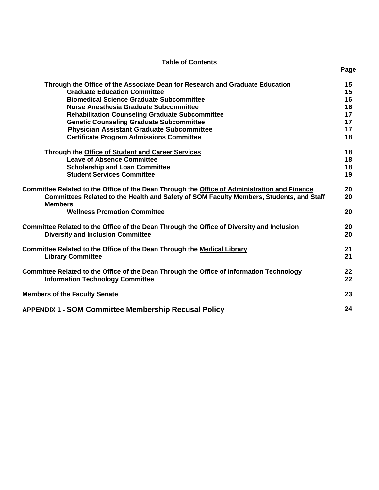# **Table of Contents**

| Through the Office of the Associate Dean for Research and Graduate Education                                                                                                            | 15       |
|-----------------------------------------------------------------------------------------------------------------------------------------------------------------------------------------|----------|
| <b>Graduate Education Committee</b>                                                                                                                                                     | 15       |
| <b>Biomedical Science Graduate Subcommittee</b>                                                                                                                                         | 16       |
| <b>Nurse Anesthesia Graduate Subcommittee</b>                                                                                                                                           | 16       |
| <b>Rehabilitation Counseling Graduate Subcommittee</b>                                                                                                                                  | 17       |
| <b>Genetic Counseling Graduate Subcommittee</b>                                                                                                                                         | 17       |
| <b>Physician Assistant Graduate Subcommittee</b>                                                                                                                                        | 17       |
| <b>Certificate Program Admissions Committee</b>                                                                                                                                         | 18       |
| Through the Office of Student and Career Services                                                                                                                                       | 18       |
| <b>Leave of Absence Committee</b>                                                                                                                                                       | 18       |
| <b>Scholarship and Loan Committee</b>                                                                                                                                                   | 18       |
| <b>Student Services Committee</b>                                                                                                                                                       | 19       |
| Committee Related to the Office of the Dean Through the Office of Administration and Finance<br>Committees Related to the Health and Safety of SOM Faculty Members, Students, and Staff | 20<br>20 |
| <b>Members</b><br><b>Wellness Promotion Committee</b>                                                                                                                                   | 20       |
| Committee Related to the Office of the Dean Through the Office of Diversity and Inclusion<br><b>Diversity and Inclusion Committee</b>                                                   | 20<br>20 |
| Committee Related to the Office of the Dean Through the Medical Library<br><b>Library Committee</b>                                                                                     | 21<br>21 |
| Committee Related to the Office of the Dean Through the Office of Information Technology<br><b>Information Technology Committee</b>                                                     | 22<br>22 |
| <b>Members of the Faculty Senate</b>                                                                                                                                                    | 23       |
| <b>APPENDIX 1 - SOM Committee Membership Recusal Policy</b>                                                                                                                             | 24       |

**Page**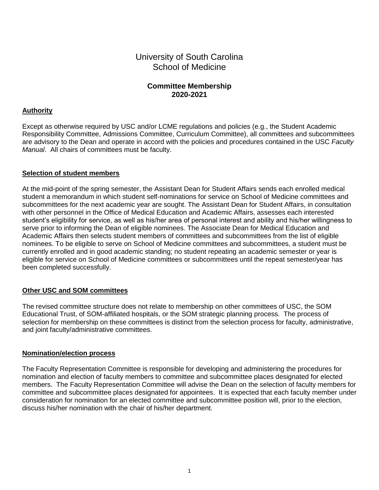# University of South Carolina School of Medicine

# **Committee Membership 2020-2021**

# **Authority**

Except as otherwise required by USC and/or LCME regulations and policies (e.g., the Student Academic Responsibility Committee, Admissions Committee, Curriculum Committee), all committees and subcommittees are advisory to the Dean and operate in accord with the policies and procedures contained in the USC *Faculty Manual*. All chairs of committees must be faculty.

# **Selection of student members**

At the mid-point of the spring semester, the Assistant Dean for Student Affairs sends each enrolled medical student a memorandum in which student self-nominations for service on School of Medicine committees and subcommittees for the next academic year are sought. The Assistant Dean for Student Affairs, in consultation with other personnel in the Office of Medical Education and Academic Affairs, assesses each interested student's eligibility for service, as well as his/her area of personal interest and ability and his/her willingness to serve prior to informing the Dean of eligible nominees. The Associate Dean for Medical Education and Academic Affairs then selects student members of committees and subcommittees from the list of eligible nominees. To be eligible to serve on School of Medicine committees and subcommittees, a student must be currently enrolled and in good academic standing; no student repeating an academic semester or year is eligible for service on School of Medicine committees or subcommittees until the repeat semester/year has been completed successfully.

# **Other USC and SOM committees**

The revised committee structure does not relate to membership on other committees of USC, the SOM Educational Trust, of SOM-affiliated hospitals, or the SOM strategic planning process. The process of selection for membership on these committees is distinct from the selection process for faculty, administrative, and joint faculty/administrative committees.

## **Nomination/election process**

The Faculty Representation Committee is responsible for developing and administering the procedures for nomination and election of faculty members to committee and subcommittee places designated for elected members. The Faculty Representation Committee will advise the Dean on the selection of faculty members for committee and subcommittee places designated for appointees. It is expected that each faculty member under consideration for nomination for an elected committee and subcommittee position will, prior to the election, discuss his/her nomination with the chair of his/her department.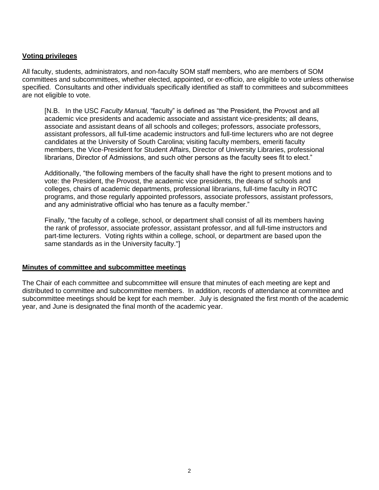## **Voting privileges**

All faculty, students, administrators, and non-faculty SOM staff members, who are members of SOM committees and subcommittees, whether elected, appointed, or ex-officio, are eligible to vote unless otherwise specified. Consultants and other individuals specifically identified as staff to committees and subcommittees are not eligible to vote.

[N.B. In the USC *Faculty Manual,* "faculty" is defined as "the President, the Provost and all academic vice presidents and academic associate and assistant vice-presidents; all deans, associate and assistant deans of all schools and colleges; professors, associate professors, assistant professors, all full-time academic instructors and full-time lecturers who are not degree candidates at the University of South Carolina; visiting faculty members, emeriti faculty members, the Vice-President for Student Affairs, Director of University Libraries, professional librarians, Director of Admissions, and such other persons as the faculty sees fit to elect."

Additionally, "the following members of the faculty shall have the right to present motions and to vote: the President, the Provost, the academic vice presidents, the deans of schools and colleges, chairs of academic departments, professional librarians, full-time faculty in ROTC programs, and those regularly appointed professors, associate professors, assistant professors, and any administrative official who has tenure as a faculty member."

Finally, "the faculty of a college, school, or department shall consist of all its members having the rank of professor, associate professor, assistant professor, and all full-time instructors and part-time lecturers. Voting rights within a college, school, or department are based upon the same standards as in the University faculty."]

## **Minutes of committee and subcommittee meetings**

The Chair of each committee and subcommittee will ensure that minutes of each meeting are kept and distributed to committee and subcommittee members. In addition, records of attendance at committee and subcommittee meetings should be kept for each member. July is designated the first month of the academic year, and June is designated the final month of the academic year.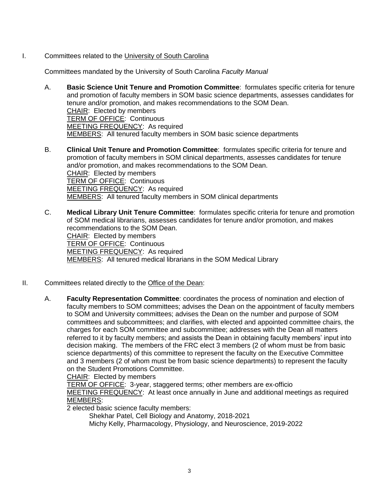I. Committees related to the University of South Carolina

Committees mandated by the University of South Carolina *Faculty Manual*

- A. **Basic Science Unit Tenure and Promotion Committee**: formulates specific criteria for tenure and promotion of faculty members in SOM basic science departments, assesses candidates for tenure and/or promotion, and makes recommendations to the SOM Dean. CHAIR: Elected by members TERM OF OFFICE: Continuous MEETING FREQUENCY: As required MEMBERS: All tenured faculty members in SOM basic science departments
- B. **Clinical Unit Tenure and Promotion Committee**: formulates specific criteria for tenure and promotion of faculty members in SOM clinical departments, assesses candidates for tenure and/or promotion, and makes recommendations to the SOM Dean. CHAIR: Elected by members TERM OF OFFICE: Continuous MEETING FREQUENCY: As required MEMBERS: All tenured faculty members in SOM clinical departments
- C. **Medical Library Unit Tenure Committee**: formulates specific criteria for tenure and promotion of SOM medical librarians, assesses candidates for tenure and/or promotion, and makes recommendations to the SOM Dean. CHAIR: Elected by members TERM OF OFFICE: Continuous MEETING FREQUENCY: As required MEMBERS: All tenured medical librarians in the SOM Medical Library
- II. Committees related directly to the Office of the Dean:
	- A. **Faculty Representation Committee**: coordinates the process of nomination and election of faculty members to SOM committees; advises the Dean on the appointment of faculty members to SOM and University committees; advises the Dean on the number and purpose of SOM committees and subcommittees; and clarifies, with elected and appointed committee chairs, the charges for each SOM committee and subcommittee; addresses with the Dean all matters referred to it by faculty members; and assists the Dean in obtaining faculty members' input into decision making. The members of the FRC elect 3 members (2 of whom must be from basic science departments) of this committee to represent the faculty on the Executive Committee and 3 members (2 of whom must be from basic science departments) to represent the faculty on the Student Promotions Committee.

CHAIR: Elected by members

TERM OF OFFICE: 3-year, staggered terms; other members are ex-officio MEETING FREQUENCY: At least once annually in June and additional meetings as required MEMBERS:

2 elected basic science faculty members:

Shekhar Patel, Cell Biology and Anatomy, 2018-2021

Michy Kelly, Pharmacology, Physiology, and Neuroscience, 2019-2022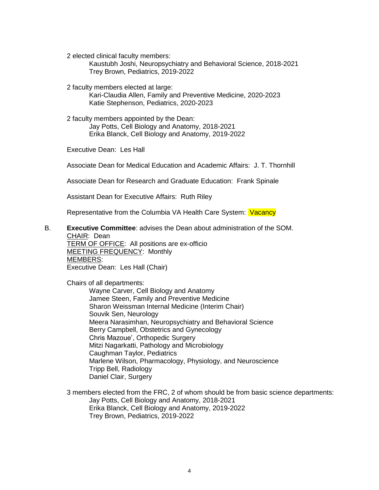2 elected clinical faculty members:

Kaustubh Joshi, Neuropsychiatry and Behavioral Science, 2018-2021 Trey Brown, Pediatrics, 2019-2022

2 faculty members elected at large:

Kari-Claudia Allen, Family and Preventive Medicine, 2020-2023 Katie Stephenson, Pediatrics, 2020-2023

2 faculty members appointed by the Dean: Jay Potts, Cell Biology and Anatomy, 2018-2021 Erika Blanck, Cell Biology and Anatomy, 2019-2022

Executive Dean: Les Hall

Associate Dean for Medical Education and Academic Affairs: J. T. Thornhill

Associate Dean for Research and Graduate Education: Frank Spinale

Assistant Dean for Executive Affairs: Ruth Riley

Representative from the Columbia VA Health Care System: Vacancy

#### B. **Executive Committee**: advises the Dean about administration of the SOM. CHAIR: Dean

TERM OF OFFICE: All positions are ex-officio MEETING FREQUENCY: Monthly MEMBERS: Executive Dean: Les Hall (Chair)

Chairs of all departments:

Wayne Carver, Cell Biology and Anatomy Jamee Steen, Family and Preventive Medicine Sharon Weissman Internal Medicine (Interim Chair) Souvik Sen, Neurology Meera Narasimhan, Neuropsychiatry and Behavioral Science Berry Campbell, Obstetrics and Gynecology Chris Mazoue', Orthopedic Surgery Mitzi Nagarkatti, Pathology and Microbiology Caughman Taylor, Pediatrics Marlene Wilson, Pharmacology, Physiology, and Neuroscience Tripp Bell, Radiology Daniel Clair, Surgery

3 members elected from the FRC, 2 of whom should be from basic science departments: Jay Potts, Cell Biology and Anatomy, 2018-2021 Erika Blanck, Cell Biology and Anatomy, 2019-2022 Trey Brown, Pediatrics, 2019-2022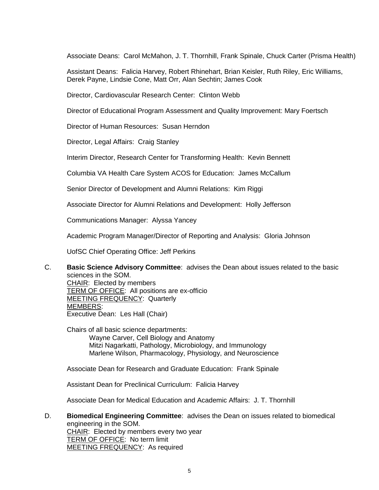Associate Deans: Carol McMahon, J. T. Thornhill, Frank Spinale, Chuck Carter (Prisma Health)

Assistant Deans: Falicia Harvey, Robert Rhinehart, Brian Keisler, Ruth Riley, Eric Williams, Derek Payne, Lindsie Cone, Matt Orr, Alan Sechtin; James Cook

Director, Cardiovascular Research Center: Clinton Webb

Director of Educational Program Assessment and Quality Improvement: Mary Foertsch

Director of Human Resources: Susan Herndon

Director, Legal Affairs: Craig Stanley

Interim Director, Research Center for Transforming Health: Kevin Bennett

Columbia VA Health Care System ACOS for Education: James McCallum

Senior Director of Development and Alumni Relations: Kim Riggi

Associate Director for Alumni Relations and Development: Holly Jefferson

Communications Manager: Alyssa Yancey

Academic Program Manager/Director of Reporting and Analysis: Gloria Johnson

UofSC Chief Operating Office: Jeff Perkins

C. **Basic Science Advisory Committee**: advises the Dean about issues related to the basic sciences in the SOM. CHAIR: Elected by members TERM OF OFFICE: All positions are ex-officio

MEETING FREQUENCY: Quarterly MEMBERS: Executive Dean: Les Hall (Chair)

Chairs of all basic science departments: Wayne Carver, Cell Biology and Anatomy Mitzi Nagarkatti, Pathology, Microbiology, and Immunology Marlene Wilson, Pharmacology, Physiology, and Neuroscience

Associate Dean for Research and Graduate Education: Frank Spinale

Assistant Dean for Preclinical Curriculum: Falicia Harvey

Associate Dean for Medical Education and Academic Affairs: J. T. Thornhill

D. **Biomedical Engineering Committee**: advises the Dean on issues related to biomedical engineering in the SOM. CHAIR: Elected by members every two year TERM OF OFFICE: No term limit MEETING FREQUENCY: As required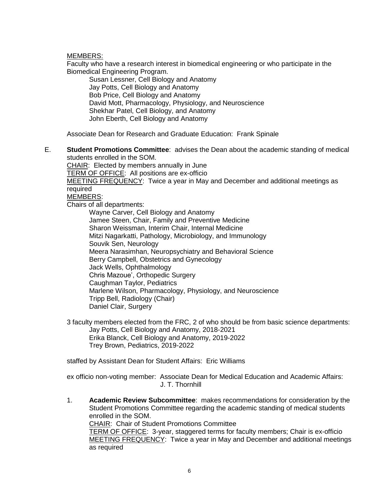MEMBERS:

Faculty who have a research interest in biomedical engineering or who participate in the Biomedical Engineering Program.

Susan Lessner, Cell Biology and Anatomy Jay Potts, Cell Biology and Anatomy Bob Price, Cell Biology and Anatomy David Mott, Pharmacology, Physiology, and Neuroscience Shekhar Patel, Cell Biology, and Anatomy John Eberth, Cell Biology and Anatomy

Associate Dean for Research and Graduate Education: Frank Spinale

E. **Student Promotions Committee**: advises the Dean about the academic standing of medical students enrolled in the SOM.

CHAIR: Elected by members annually in June TERM OF OFFICE: All positions are ex-officio MEETING FREQUENCY: Twice a year in May and December and additional meetings as required MEMBERS: Chairs of all departments:

Wayne Carver, Cell Biology and Anatomy Jamee Steen, Chair, Family and Preventive Medicine Sharon Weissman, Interim Chair, Internal Medicine Mitzi Nagarkatti, Pathology, Microbiology, and Immunology Souvik Sen, Neurology Meera Narasimhan, Neuropsychiatry and Behavioral Science Berry Campbell, Obstetrics and Gynecology Jack Wells, Ophthalmology Chris Mazoue', Orthopedic Surgery Caughman Taylor, Pediatrics Marlene Wilson, Pharmacology, Physiology, and Neuroscience Tripp Bell, Radiology (Chair) Daniel Clair, Surgery

3 faculty members elected from the FRC, 2 of who should be from basic science departments: Jay Potts, Cell Biology and Anatomy, 2018-2021 Erika Blanck, Cell Biology and Anatomy, 2019-2022 Trey Brown, Pediatrics, 2019-2022

staffed by Assistant Dean for Student Affairs: Eric Williams

ex officio non-voting member: Associate Dean for Medical Education and Academic Affairs: J. T. Thornhill

1. **Academic Review Subcommittee**: makes recommendations for consideration by the Student Promotions Committee regarding the academic standing of medical students enrolled in the SOM. CHAIR: Chair of Student Promotions Committee TERM OF OFFICE: 3-year, staggered terms for faculty members; Chair is ex-officio MEETING FREQUENCY: Twice a year in May and December and additional meetings as required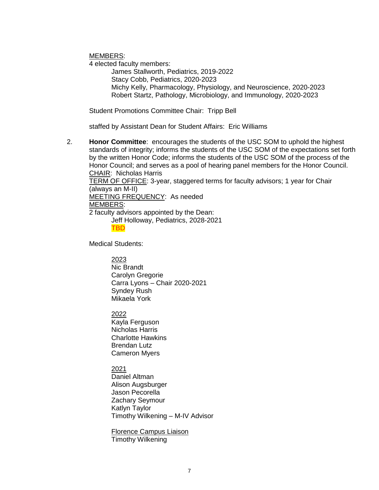MEMBERS:

4 elected faculty members:

James Stallworth, Pediatrics, 2019-2022 Stacy Cobb, Pediatrics, 2020-2023 Michy Kelly, Pharmacology, Physiology, and Neuroscience, 2020-2023 Robert Startz, Pathology, Microbiology, and Immunology, 2020-2023

Student Promotions Committee Chair: Tripp Bell

staffed by Assistant Dean for Student Affairs: Eric Williams

2. **Honor Committee**: encourages the students of the USC SOM to uphold the highest standards of integrity; informs the students of the USC SOM of the expectations set forth by the written Honor Code; informs the students of the USC SOM of the process of the Honor Council; and serves as a pool of hearing panel members for the Honor Council. CHAIR: Nicholas Harris

TERM OF OFFICE: 3-year, staggered terms for faculty advisors; 1 year for Chair (always an M-II) MEETING FREQUENCY: As needed

MEMBERS:

2 faculty advisors appointed by the Dean:

Jeff Holloway, Pediatrics, 2028-2021

TBD

Medical Students:

2023

Nic Brandt Carolyn Gregorie Carra Lyons – Chair 2020-2021 Syndey Rush Mikaela York

2022

Kayla Ferguson Nicholas Harris Charlotte Hawkins Brendan Lutz Cameron Myers

# 2021

Daniel Altman Alison Augsburger Jason Pecorella Zachary Seymour Katlyn Taylor Timothy Wilkening – M-IV Advisor

Florence Campus Liaison Timothy Wilkening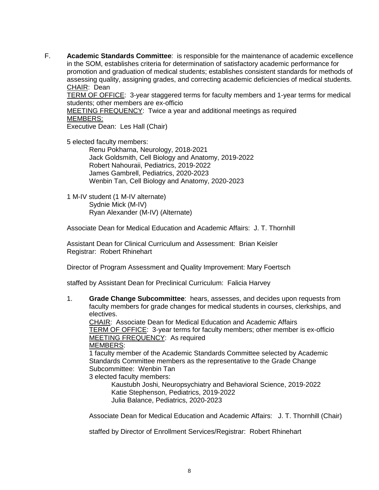F. **Academic Standards Committee**: is responsible for the maintenance of academic excellence in the SOM, establishes criteria for determination of satisfactory academic performance for promotion and graduation of medical students; establishes consistent standards for methods of assessing quality, assigning grades, and correcting academic deficiencies of medical students. CHAIR: Dean

TERM OF OFFICE: 3-year staggered terms for faculty members and 1-year terms for medical students; other members are ex-officio

MEETING FREQUENCY: Twice a year and additional meetings as required MEMBERS:

Executive Dean: Les Hall (Chair)

5 elected faculty members:

Renu Pokharna, Neurology, 2018-2021 Jack Goldsmith, Cell Biology and Anatomy, 2019-2022 Robert Nahouraii, Pediatrics, 2019-2022 James Gambrell, Pediatrics, 2020-2023 Wenbin Tan, Cell Biology and Anatomy, 2020-2023

1 M-IV student (1 M-IV alternate) Sydnie Mick (M-IV) Ryan Alexander (M-IV) (Alternate)

Associate Dean for Medical Education and Academic Affairs: J. T. Thornhill

Assistant Dean for Clinical Curriculum and Assessment: Brian Keisler Registrar: Robert Rhinehart

Director of Program Assessment and Quality Improvement: Mary Foertsch

staffed by Assistant Dean for Preclinical Curriculum: Falicia Harvey

1. **Grade Change Subcommittee**: hears, assesses, and decides upon requests from faculty members for grade changes for medical students in courses, clerkships, and electives.

CHAIR: Associate Dean for Medical Education and Academic Affairs TERM OF OFFICE: 3-year terms for faculty members; other member is ex-officio MEETING FREQUENCY: As required MEMBERS:

1 faculty member of the Academic Standards Committee selected by Academic Standards Committee members as the representative to the Grade Change Subcommittee: Wenbin Tan

3 elected faculty members:

Kaustubh Joshi, Neuropsychiatry and Behavioral Science, 2019-2022 Katie Stephenson, Pediatrics, 2019-2022 Julia Balance, Pediatrics, 2020-2023

Associate Dean for Medical Education and Academic Affairs: J. T. Thornhill (Chair)

staffed by Director of Enrollment Services/Registrar: Robert Rhinehart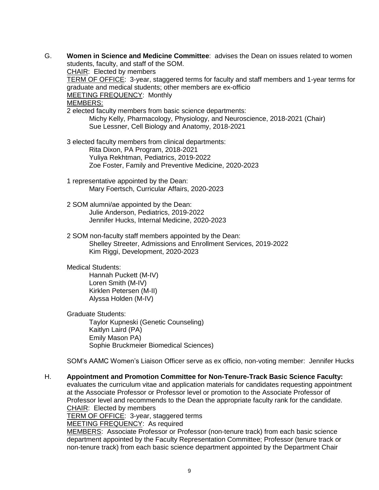G. **Women in Science and Medicine Committee**: advises the Dean on issues related to women students, faculty, and staff of the SOM. CHAIR: Elected by members TERM OF OFFICE: 3-year, staggered terms for faculty and staff members and 1-year terms for graduate and medical students; other members are ex-officio MEETING FREQUENCY: Monthly MEMBERS: 2 elected faculty members from basic science departments: Michy Kelly, Pharmacology, Physiology, and Neuroscience, 2018-2021 (Chair) Sue Lessner, Cell Biology and Anatomy, 2018-2021 3 elected faculty members from clinical departments: Rita Dixon, PA Program, 2018-2021 Yuliya Rekhtman, Pediatrics, 2019-2022 Zoe Foster, Family and Preventive Medicine, 2020-2023 1 representative appointed by the Dean: Mary Foertsch, Curricular Affairs, 2020-2023 2 SOM alumni/ae appointed by the Dean: Julie Anderson, Pediatrics, 2019-2022 Jennifer Hucks, Internal Medicine, 2020-2023 2 SOM non-faculty staff members appointed by the Dean: Shelley Streeter, Admissions and Enrollment Services, 2019-2022 Kim Riggi, Development, 2020-2023 Medical Students: Hannah Puckett (M-IV) Loren Smith (M-IV) Kirklen Petersen (M-II) Alyssa Holden (M-IV) Graduate Students: Taylor Kupneski (Genetic Counseling) Kaitlyn Laird (PA) Emily Mason PA) Sophie Bruckmeier Biomedical Sciences) SOM's AAMC Women's Liaison Officer serve as ex officio, non-voting member: Jennifer Hucks H. **Appointment and Promotion Committee for Non-Tenure-Track Basic Science Faculty:**  evaluates the curriculum vitae and application materials for candidates requesting appointment at the Associate Professor or Professor level or promotion to the Associate Professor of Professor level and recommends to the Dean the appropriate faculty rank for the candidate. CHAIR: Elected by members TERM OF OFFICE: 3-year, staggered terms MEETING FREQUENCY: As required

MEMBERS: Associate Professor or Professor (non-tenure track) from each basic science department appointed by the Faculty Representation Committee; Professor (tenure track or non-tenure track) from each basic science department appointed by the Department Chair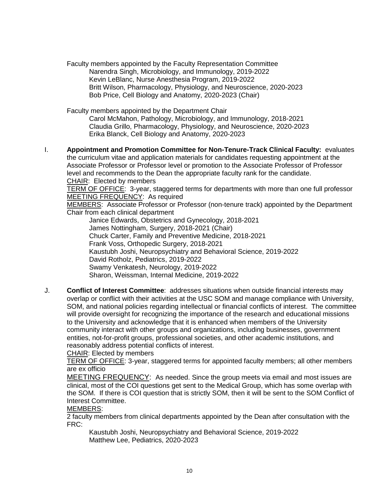Faculty members appointed by the Faculty Representation Committee Narendra Singh, Microbiology, and Immunology, 2019-2022 Kevin LeBlanc, Nurse Anesthesia Program, 2019-2022 Britt Wilson, Pharmacology, Physiology, and Neuroscience, 2020-2023 Bob Price, Cell Biology and Anatomy, 2020-2023 (Chair)

Faculty members appointed by the Department Chair

Carol McMahon, Pathology, Microbiology, and Immunology, 2018-2021 Claudia Grillo, Pharmacology, Physiology, and Neuroscience, 2020-2023 Erika Blanck, Cell Biology and Anatomy, 2020-2023

I. **Appointment and Promotion Committee for Non-Tenure-Track Clinical Faculty:** evaluates the curriculum vitae and application materials for candidates requesting appointment at the Associate Professor or Professor level or promotion to the Associate Professor of Professor level and recommends to the Dean the appropriate faculty rank for the candidate. CHAIR: Elected by members

TERM OF OFFICE: 3-year, staggered terms for departments with more than one full professor MEETING FREQUENCY: As required

MEMBERS: Associate Professor or Professor (non-tenure track) appointed by the Department Chair from each clinical department

Janice Edwards, Obstetrics and Gynecology, 2018-2021 James Nottingham, Surgery, 2018-2021 (Chair) Chuck Carter, Family and Preventive Medicine, 2018-2021 Frank Voss, Orthopedic Surgery, 2018-2021 Kaustubh Joshi, Neuropsychiatry and Behavioral Science, 2019-2022 David Rotholz, Pediatrics, 2019-2022 Swamy Venkatesh, Neurology, 2019-2022 Sharon, Weissman, Internal Medicine, 2019-2022

J. **Conflict of Interest Committee**: addresses situations when outside financial interests may overlap or conflict with their activities at the USC SOM and manage compliance with University, SOM, and national policies regarding intellectual or financial conflicts of interest. The committee will provide oversight for recognizing the importance of the research and educational missions to the University and acknowledge that it is enhanced when members of the University community interact with other groups and organizations, including businesses, government entities, not-for-profit groups, professional societies, and other academic institutions, and reasonably address potential conflicts of interest.

CHAIR: Elected by members

TERM OF OFFICE: 3-year, staggered terms for appointed faculty members; all other members are ex officio

MEETING FREQUENCY: As needed. Since the group meets via email and most issues are clinical, most of the COI questions get sent to the Medical Group, which has some overlap with the SOM. If there is COI question that is strictly SOM, then it will be sent to the SOM Conflict of Interest Committee.

MEMBERS:

2 faculty members from clinical departments appointed by the Dean after consultation with the FRC:

Kaustubh Joshi, Neuropsychiatry and Behavioral Science, 2019-2022 Matthew Lee, Pediatrics, 2020-2023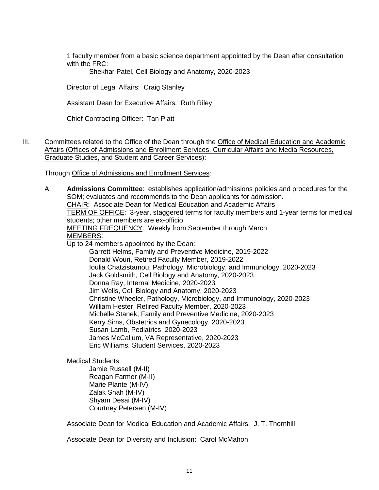1 faculty member from a basic science department appointed by the Dean after consultation with the FRC:

Shekhar Patel, Cell Biology and Anatomy, 2020-2023

Director of Legal Affairs: Craig Stanley

Assistant Dean for Executive Affairs: Ruth Riley

Chief Contracting Officer: Tan Platt

III. Committees related to the Office of the Dean through the Office of Medical Education and Academic Affairs (Offices of Admissions and Enrollment Services, Curricular Affairs and Media Resources, Graduate Studies, and Student and Career Services):

Through Office of Admissions and Enrollment Services:

- A. **Admissions Committee**: establishes application/admissions policies and procedures for the SOM; evaluates and recommends to the Dean applicants for admission. CHAIR: Associate Dean for Medical Education and Academic Affairs TERM OF OFFICE: 3-year, staggered terms for faculty members and 1-year terms for medical students; other members are ex-officio MEETING FREQUENCY: Weekly from September through March MEMBERS: Up to 24 members appointed by the Dean: Garrett Helms, Family and Preventive Medicine, 2019-2022 Donald Wouri, Retired Faculty Member, 2019-2022 Ioulia Chatzistamou, Pathology, Microbiology, and Immunology, 2020-2023 Jack Goldsmith, Cell Biology and Anatomy, 2020-2023 Donna Ray, Internal Medicine, 2020-2023 Jim Wells, Cell Biology and Anatomy, 2020-2023 Christine Wheeler, Pathology, Microbiology, and Immunology, 2020-2023 William Hester, Retired Faculty Member, 2020-2023 Michelle Stanek, Family and Preventive Medicine, 2020-2023 Kerry Sims, Obstetrics and Gynecology, 2020-2023 Susan Lamb, Pediatrics, 2020-2023 James McCallum, VA Representative, 2020-2023 Eric Williams, Student Services, 2020-2023 Medical Students: Jamie Russell (M-II)
	- Reagan Farmer (M-II) Marie Plante (M-IV) Zalak Shah (M-IV) Shyam Desai (M-IV) Courtney Petersen (M-IV)

Associate Dean for Medical Education and Academic Affairs: J. T. Thornhill

Associate Dean for Diversity and Inclusion: Carol McMahon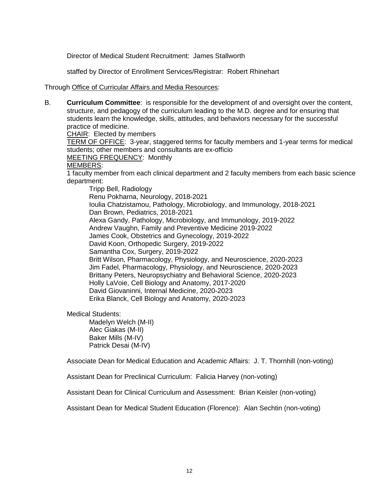Director of Medical Student Recruitment: James Stallworth

staffed by Director of Enrollment Services/Registrar: Robert Rhinehart

### Through Office of Curricular Affairs and Media Resources:

B. **Curriculum Committee**: is responsible for the development of and oversight over the content, structure, and pedagogy of the curriculum leading to the M.D. degree and for ensuring that students learn the knowledge, skills, attitudes, and behaviors necessary for the successful practice of medicine. CHAIR: Elected by members TERM OF OFFICE: 3-year, staggered terms for faculty members and 1-year terms for medical students; other members and consultants are ex-officio MEETING FREQUENCY: Monthly MEMBERS: 1 faculty member from each clinical department and 2 faculty members from each basic science department: Tripp Bell, Radiology Renu Pokharna, Neurology, 2018-2021 Ioulia Chatzistamou, Pathology, Microbiology, and Immunology, 2018-2021 Dan Brown, Pediatrics, 2018-2021 Alexa Gandy, Pathology, Microbiology, and Immunology, 2019-2022 Andrew Vaughn, Family and Preventive Medicine 2019-2022 James Cook, Obstetrics and Gynecology, 2019-2022 David Koon, Orthopedic Surgery, 2019-2022 Samantha Cox, Surgery, 2019-2022 Britt Wilson, Pharmacology, Physiology, and Neuroscience, 2020-2023 Jim Fadel, Pharmacology, Physiology, and Neuroscience, 2020-2023 Brittany Peters, Neuropsychiatry and Behavioral Science, 2020-2023 Holly LaVoie, Cell Biology and Anatomy, 2017-2020 David Giovaninni, Internal Medicine, 2020-2023 Erika Blanck, Cell Biology and Anatomy, 2020-2023

Medical Students:

Madelyn Welch (M-II) Alec Giakas (M-II) Baker Mills (M-IV) Patrick Desai (M-IV)

Associate Dean for Medical Education and Academic Affairs: J. T. Thornhill (non-voting)

Assistant Dean for Preclinical Curriculum: Falicia Harvey (non-voting)

Assistant Dean for Clinical Curriculum and Assessment: Brian Keisler (non-voting)

Assistant Dean for Medical Student Education (Florence): Alan Sechtin (non-voting)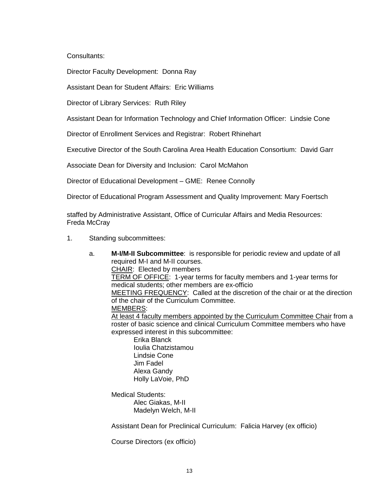Consultants:

Director Faculty Development: Donna Ray

Assistant Dean for Student Affairs: Eric Williams

Director of Library Services: Ruth Riley

Assistant Dean for Information Technology and Chief Information Officer: Lindsie Cone

Director of Enrollment Services and Registrar: Robert Rhinehart

Executive Director of the South Carolina Area Health Education Consortium: David Garr

Associate Dean for Diversity and Inclusion: Carol McMahon

Director of Educational Development – GME: Renee Connolly

Director of Educational Program Assessment and Quality Improvement: Mary Foertsch

staffed by Administrative Assistant, Office of Curricular Affairs and Media Resources: Freda McCray

- 1. Standing subcommittees:
	- a. **M-I/M-II Subcommittee**: is responsible for periodic review and update of all required M-I and M-II courses. CHAIR: Elected by members TERM OF OFFICE: 1-year terms for faculty members and 1-year terms for medical students; other members are ex-officio MEETING FREQUENCY: Called at the discretion of the chair or at the direction of the chair of the Curriculum Committee. MEMBERS: At least 4 faculty members appointed by the Curriculum Committee Chair from a roster of basic science and clinical Curriculum Committee members who have expressed interest in this subcommittee: Erika Blanck Ioulia Chatzistamou Lindsie Cone Jim Fadel Alexa Gandy Holly LaVoie, PhD

Medical Students: Alec Giakas, M-II Madelyn Welch, M-II

Assistant Dean for Preclinical Curriculum: Falicia Harvey (ex officio)

Course Directors (ex officio)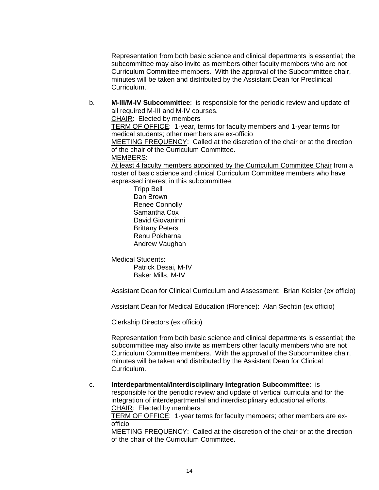Representation from both basic science and clinical departments is essential; the subcommittee may also invite as members other faculty members who are not Curriculum Committee members. With the approval of the Subcommittee chair, minutes will be taken and distributed by the Assistant Dean for Preclinical Curriculum.

b. **M-III/M-IV Subcommittee**: is responsible for the periodic review and update of all required M-III and M-IV courses.

CHAIR: Elected by members

TERM OF OFFICE: 1-year, terms for faculty members and 1-year terms for medical students; other members are ex-officio

MEETING FREQUENCY: Called at the discretion of the chair or at the direction of the chair of the Curriculum Committee.

MEMBERS:

At least 4 faculty members appointed by the Curriculum Committee Chair from a roster of basic science and clinical Curriculum Committee members who have expressed interest in this subcommittee:

Tripp Bell Dan Brown Renee Connolly Samantha Cox David Giovaninni Brittany Peters Renu Pokharna Andrew Vaughan

Medical Students:

Patrick Desai, M-IV Baker Mills, M-IV

Assistant Dean for Clinical Curriculum and Assessment: Brian Keisler (ex officio)

Assistant Dean for Medical Education (Florence): Alan Sechtin (ex officio)

Clerkship Directors (ex officio)

Representation from both basic science and clinical departments is essential; the subcommittee may also invite as members other faculty members who are not Curriculum Committee members. With the approval of the Subcommittee chair, minutes will be taken and distributed by the Assistant Dean for Clinical Curriculum.

c. **Interdepartmental/Interdisciplinary Integration Subcommittee**: is responsible for the periodic review and update of vertical curricula and for the integration of interdepartmental and interdisciplinary educational efforts. CHAIR: Elected by members TERM OF OFFICE: 1-year terms for faculty members; other members are ex-

officio MEETING FREQUENCY: Called at the discretion of the chair or at the direction of the chair of the Curriculum Committee.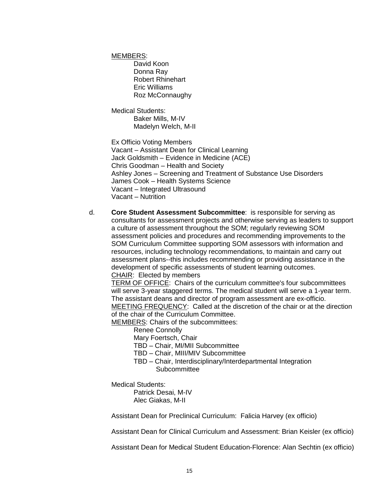MEMBERS:

David Koon Donna Ray Robert Rhinehart Eric Williams Roz McConnaughy

Medical Students: Baker Mills, M-IV Madelyn Welch, M-II

Ex Officio Voting Members Vacant – Assistant Dean for Clinical Learning Jack Goldsmith – Evidence in Medicine (ACE) Chris Goodman – Health and Society Ashley Jones – Screening and Treatment of Substance Use Disorders James Cook – Health Systems Science Vacant – Integrated Ultrasound Vacant – Nutrition

d. **Core Student Assessment Subcommittee**: is responsible for serving as consultants for assessment projects and otherwise serving as leaders to support a culture of assessment throughout the SOM; regularly reviewing SOM assessment policies and procedures and recommending improvements to the SOM Curriculum Committee supporting SOM assessors with information and resources, including technology recommendations, to maintain and carry out assessment plans--this includes recommending or providing assistance in the development of specific assessments of student learning outcomes. CHAIR: Elected by members

TERM OF OFFICE: Chairs of the curriculum committee's four subcommittees will serve 3-year staggered terms. The medical student will serve a 1-year term. The assistant deans and director of program assessment are ex-officio. MEETING FREQUENCY: Called at the discretion of the chair or at the direction of the chair of the Curriculum Committee.

MEMBERS: Chairs of the subcommittees:

Renee Connolly

Mary Foertsch, Chair

TBD – Chair, MI/MII Subcommittee

- TBD Chair, MIII/MIV Subcommittee
- TBD Chair, Interdisciplinary/Interdepartmental Integration **Subcommittee**

Medical Students:

Patrick Desai, M-IV Alec Giakas, M-II

Assistant Dean for Preclinical Curriculum: Falicia Harvey (ex officio)

Assistant Dean for Clinical Curriculum and Assessment: Brian Keisler (ex officio)

Assistant Dean for Medical Student Education-Florence: Alan Sechtin (ex officio)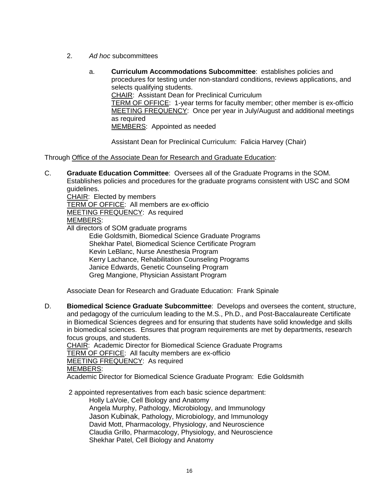- 2. *Ad hoc* subcommittees
	- a. **Curriculum Accommodations Subcommittee**: establishes policies and procedures for testing under non-standard conditions, reviews applications, and selects qualifying students. CHAIR: Assistant Dean for Preclinical Curriculum TERM OF OFFICE: 1-year terms for faculty member; other member is ex-officio MEETING FREQUENCY: Once per year in July/August and additional meetings as required MEMBERS: Appointed as needed

Assistant Dean for Preclinical Curriculum: Falicia Harvey (Chair)

Through Office of the Associate Dean for Research and Graduate Education:

C. **Graduate Education Committee**: Oversees all of the Graduate Programs in the SOM. Establishes policies and procedures for the graduate programs consistent with USC and SOM guidelines.

CHAIR: Elected by members TERM OF OFFICE: All members are ex-officio MEETING FREQUENCY: As required MEMBERS: All directors of SOM graduate programs Edie Goldsmith, Biomedical Science Graduate Programs

Shekhar Patel, Biomedical Science Certificate Program Kevin LeBlanc, Nurse Anesthesia Program Kerry Lachance, Rehabilitation Counseling Programs Janice Edwards, Genetic Counseling Program Greg Mangione, Physician Assistant Program

Associate Dean for Research and Graduate Education: Frank Spinale

D. **Biomedical Science Graduate Subcommittee**: Develops and oversees the content, structure, and pedagogy of the curriculum leading to the M.S., Ph.D., and Post-Baccalaureate Certificate in Biomedical Sciences degrees and for ensuring that students have solid knowledge and skills in biomedical sciences. Ensures that program requirements are met by departments, research focus groups, and students. CHAIR: Academic Director for Biomedical Science Graduate Programs TERM OF OFFICE: All faculty members are ex-officio MEETING FREQUENCY: As required MEMBERS:

Academic Director for Biomedical Science Graduate Program: Edie Goldsmith

2 appointed representatives from each basic science department:

Holly LaVoie, Cell Biology and Anatomy Angela Murphy, Pathology, Microbiology, and Immunology Jason Kubinak, Pathology, Microbiology, and Immunology David Mott, Pharmacology, Physiology, and Neuroscience Claudia Grillo, Pharmacology, Physiology, and Neuroscience Shekhar Patel, Cell Biology and Anatomy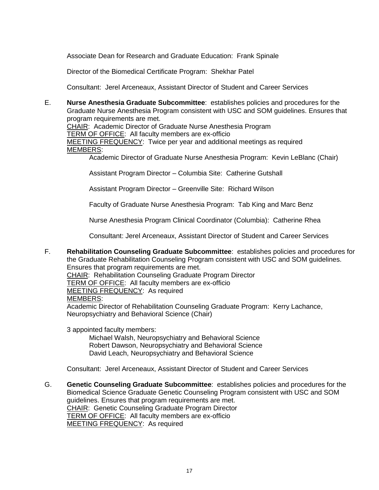Associate Dean for Research and Graduate Education: Frank Spinale

Director of the Biomedical Certificate Program: Shekhar Patel

Consultant: Jerel Arceneaux, Assistant Director of Student and Career Services

E. **Nurse Anesthesia Graduate Subcommittee**: establishes policies and procedures for the Graduate Nurse Anesthesia Program consistent with USC and SOM guidelines. Ensures that program requirements are met.

CHAIR: Academic Director of Graduate Nurse Anesthesia Program

TERM OF OFFICE: All faculty members are ex-officio

MEETING FREQUENCY: Twice per year and additional meetings as required MEMBERS:

Academic Director of Graduate Nurse Anesthesia Program: Kevin LeBlanc (Chair)

Assistant Program Director – Columbia Site: Catherine Gutshall

Assistant Program Director – Greenville Site: Richard Wilson

Faculty of Graduate Nurse Anesthesia Program: Tab King and Marc Benz

Nurse Anesthesia Program Clinical Coordinator (Columbia): Catherine Rhea

Consultant: Jerel Arceneaux, Assistant Director of Student and Career Services

F. **Rehabilitation Counseling Graduate Subcommittee**: establishes policies and procedures for the Graduate Rehabilitation Counseling Program consistent with USC and SOM guidelines. Ensures that program requirements are met. CHAIR: Rehabilitation Counseling Graduate Program Director

TERM OF OFFICE: All faculty members are ex-officio

MEETING FREQUENCY: As required

## MEMBERS:

Academic Director of Rehabilitation Counseling Graduate Program: Kerry Lachance, Neuropsychiatry and Behavioral Science (Chair)

3 appointed faculty members:

Michael Walsh, Neuropsychiatry and Behavioral Science Robert Dawson, Neuropsychiatry and Behavioral Science David Leach, Neuropsychiatry and Behavioral Science

Consultant: Jerel Arceneaux, Assistant Director of Student and Career Services

G. **Genetic Counseling Graduate Subcommittee**: establishes policies and procedures for the Biomedical Science Graduate Genetic Counseling Program consistent with USC and SOM guidelines. Ensures that program requirements are met. CHAIR: Genetic Counseling Graduate Program Director TERM OF OFFICE: All faculty members are ex-officio MEETING FREQUENCY: As required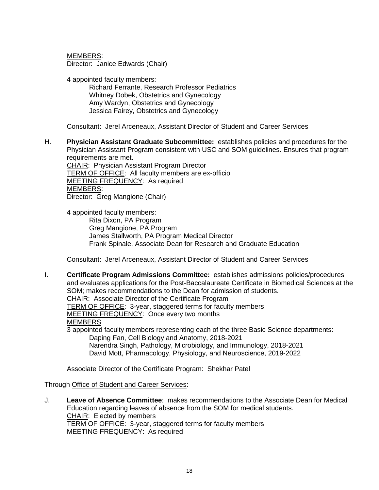MEMBERS:

Director: Janice Edwards (Chair)

4 appointed faculty members:

Richard Ferrante, Research Professor Pediatrics Whitney Dobek, Obstetrics and Gynecology Amy Wardyn, Obstetrics and Gynecology Jessica Fairey, Obstetrics and Gynecology

Consultant: Jerel Arceneaux, Assistant Director of Student and Career Services

H. **Physician Assistant Graduate Subcommittee:** establishes policies and procedures for the Physician Assistant Program consistent with USC and SOM guidelines. Ensures that program requirements are met. CHAIR: Physician Assistant Program Director TERM OF OFFICE: All faculty members are ex-officio MEETING FREQUENCY: As required

MEMBERS:

Director: Greg Mangione (Chair)

4 appointed faculty members: Rita Dixon, PA Program Greg Mangione, PA Program James Stallworth, PA Program Medical Director Frank Spinale, Associate Dean for Research and Graduate Education

Consultant: Jerel Arceneaux, Assistant Director of Student and Career Services

I. **Certificate Program Admissions Committee:** establishes admissions policies/procedures and evaluates applications for the Post-Baccalaureate Certificate in Biomedical Sciences at the SOM; makes recommendations to the Dean for admission of students. CHAIR: Associate Director of the Certificate Program TERM OF OFFICE: 3-year, staggered terms for faculty members MEETING FREQUENCY: Once every two months MEMBERS 3 appointed faculty members representing each of the three Basic Science departments: Daping Fan, Cell Biology and Anatomy, 2018-2021 Narendra Singh, Pathology, Microbiology, and Immunology, 2018-2021 David Mott, Pharmacology, Physiology, and Neuroscience, 2019-2022

Associate Director of the Certificate Program: Shekhar Patel

Through Office of Student and Career Services:

J. **Leave of Absence Committee**: makes recommendations to the Associate Dean for Medical Education regarding leaves of absence from the SOM for medical students. CHAIR: Elected by members TERM OF OFFICE: 3-year, staggered terms for faculty members MEETING FREQUENCY: As required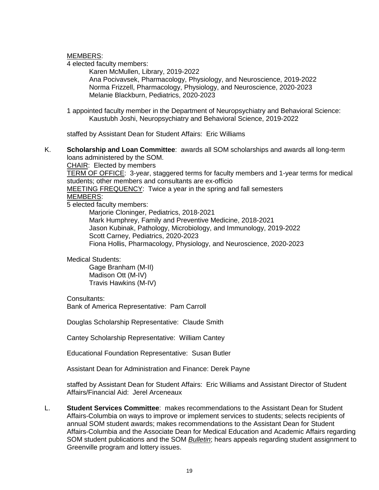MEMBERS:

4 elected faculty members:

Karen McMullen, Library, 2019-2022 Ana Pocivavsek, Pharmacology, Physiology, and Neuroscience, 2019-2022 Norma Frizzell, Pharmacology, Physiology, and Neuroscience, 2020-2023 Melanie Blackburn, Pediatrics, 2020-2023

1 appointed faculty member in the Department of Neuropsychiatry and Behavioral Science: Kaustubh Joshi, Neuropsychiatry and Behavioral Science, 2019-2022

staffed by Assistant Dean for Student Affairs: Eric Williams

K. **Scholarship and Loan Committee**: awards all SOM scholarships and awards all long-term loans administered by the SOM.

CHAIR: Elected by members TERM OF OFFICE: 3-year, staggered terms for faculty members and 1-year terms for medical students; other members and consultants are ex-officio MEETING FREQUENCY: Twice a year in the spring and fall semesters MEMBERS:

5 elected faculty members:

Marjorie Cloninger, Pediatrics, 2018-2021 Mark Humphrey, Family and Preventive Medicine, 2018-2021 Jason Kubinak, Pathology, Microbiology, and Immunology, 2019-2022 Scott Carney, Pediatrics, 2020-2023 Fiona Hollis, Pharmacology, Physiology, and Neuroscience, 2020-2023

Medical Students:

Gage Branham (M-II) Madison Ott (M-IV) Travis Hawkins (M-IV)

Consultants:

Bank of America Representative: Pam Carroll

Douglas Scholarship Representative: Claude Smith

Cantey Scholarship Representative: William Cantey

Educational Foundation Representative: Susan Butler

Assistant Dean for Administration and Finance: Derek Payne

staffed by Assistant Dean for Student Affairs: Eric Williams and Assistant Director of Student Affairs/Financial Aid: Jerel Arceneaux

L. **Student Services Committee**: makes recommendations to the Assistant Dean for Student Affairs-Columbia on ways to improve or implement services to students; selects recipients of annual SOM student awards; makes recommendations to the Assistant Dean for Student Affairs-Columbia and the Associate Dean for Medical Education and Academic Affairs regarding SOM student publications and the SOM *Bulletin*; hears appeals regarding student assignment to Greenville program and lottery issues.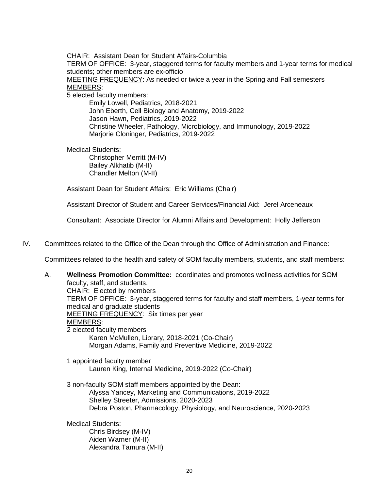CHAIR: Assistant Dean for Student Affairs-Columbia

TERM OF OFFICE: 3-year, staggered terms for faculty members and 1-year terms for medical students; other members are ex-officio

MEETING FREQUENCY: As needed or twice a year in the Spring and Fall semesters MEMBERS:

5 elected faculty members:

Emily Lowell, Pediatrics, 2018-2021 John Eberth, Cell Biology and Anatomy, 2019-2022 Jason Hawn, Pediatrics, 2019-2022 Christine Wheeler, Pathology, Microbiology, and Immunology, 2019-2022 Marjorie Cloninger, Pediatrics, 2019-2022

Medical Students:

Christopher Merritt (M-IV) Bailey Alkhatib (M-II) Chandler Melton (M-II)

Assistant Dean for Student Affairs: Eric Williams (Chair)

Assistant Director of Student and Career Services/Financial Aid: Jerel Arceneaux

Consultant: Associate Director for Alumni Affairs and Development: Holly Jefferson

IV. Committees related to the Office of the Dean through the Office of Administration and Finance:

Committees related to the health and safety of SOM faculty members, students, and staff members:

A. **Wellness Promotion Committee:** coordinates and promotes wellness activities for SOM faculty, staff, and students. CHAIR: Elected by members TERM OF OFFICE: 3-year, staggered terms for faculty and staff members, 1-year terms for medical and graduate students MEETING FREQUENCY: Six times per year MEMBERS: 2 elected faculty members Karen McMullen, Library, 2018-2021 (Co-Chair) Morgan Adams, Family and Preventive Medicine, 2019-2022 1 appointed faculty member Lauren King, Internal Medicine, 2019-2022 (Co-Chair) 3 non-faculty SOM staff members appointed by the Dean: Alyssa Yancey, Marketing and Communications, 2019-2022 Shelley Streeter, Admissions, 2020-2023 Debra Poston, Pharmacology, Physiology, and Neuroscience, 2020-2023 Medical Students: Chris Birdsey (M-IV) Aiden Warner (M-II) Alexandra Tamura (M-II)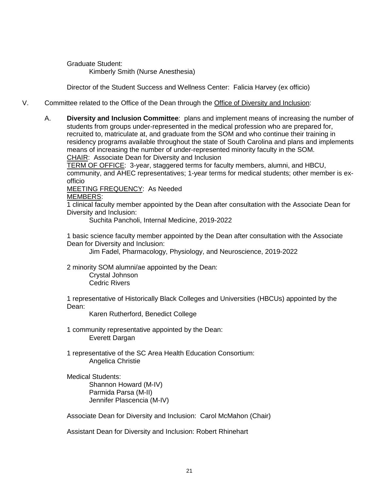Graduate Student: Kimberly Smith (Nurse Anesthesia)

Director of the Student Success and Wellness Center: Falicia Harvey (ex officio)

- V. Committee related to the Office of the Dean through the Office of Diversity and Inclusion:
	- A. **Diversity and Inclusion Committee**: plans and implement means of increasing the number of students from groups under-represented in the medical profession who are prepared for, recruited to, matriculate at, and graduate from the SOM and who continue their training in residency programs available throughout the state of South Carolina and plans and implements means of increasing the number of under-represented minority faculty in the SOM. CHAIR: Associate Dean for Diversity and Inclusion

TERM OF OFFICE: 3-year, staggered terms for faculty members, alumni, and HBCU, community, and AHEC representatives; 1-year terms for medical students; other member is exofficio

MEETING FREQUENCY: As Needed

## MEMBERS:

1 clinical faculty member appointed by the Dean after consultation with the Associate Dean for Diversity and Inclusion:

Suchita Pancholi, Internal Medicine, 2019-2022

1 basic science faculty member appointed by the Dean after consultation with the Associate Dean for Diversity and Inclusion:

Jim Fadel, Pharmacology, Physiology, and Neuroscience, 2019-2022

2 minority SOM alumni/ae appointed by the Dean: Crystal Johnson

Cedric Rivers

1 representative of Historically Black Colleges and Universities (HBCUs) appointed by the Dean:

Karen Rutherford, Benedict College

1 community representative appointed by the Dean: Everett Dargan

1 representative of the SC Area Health Education Consortium: Angelica Christie

Medical Students: Shannon Howard (M-IV) Parmida Parsa (M-II) Jennifer Plascencia (M-IV)

Associate Dean for Diversity and Inclusion: Carol McMahon (Chair)

Assistant Dean for Diversity and Inclusion: Robert Rhinehart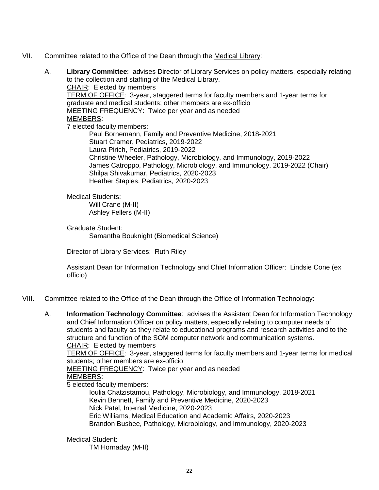- VII. Committee related to the Office of the Dean through the Medical Library:
	- A. **Library Committee**: advises Director of Library Services on policy matters, especially relating to the collection and staffing of the Medical Library. CHAIR: Elected by members TERM OF OFFICE: 3-year, staggered terms for faculty members and 1-year terms for graduate and medical students; other members are ex-officio MEETING FREQUENCY: Twice per year and as needed MEMBERS: 7 elected faculty members: Paul Bornemann, Family and Preventive Medicine, 2018-2021 Stuart Cramer, Pediatrics, 2019-2022 Laura Pirich, Pediatrics, 2019-2022 Christine Wheeler, Pathology, Microbiology, and Immunology, 2019-2022

James Catroppo, Pathology, Microbiology, and Immunology, 2019-2022 (Chair) Shilpa Shivakumar, Pediatrics, 2020-2023 Heather Staples, Pediatrics, 2020-2023

# Medical Students:

Will Crane (M-II) Ashley Fellers (M-II)

Graduate Student:

Samantha Bouknight (Biomedical Science)

Director of Library Services: Ruth Riley

Assistant Dean for Information Technology and Chief Information Officer: Lindsie Cone (ex officio)

- VIII. Committee related to the Office of the Dean through the Office of Information Technology:
	- A. **Information Technology Committee**: advises the Assistant Dean for Information Technology and Chief Information Officer on policy matters, especially relating to computer needs of students and faculty as they relate to educational programs and research activities and to the structure and function of the SOM computer network and communication systems. CHAIR: Elected by members

TERM OF OFFICE: 3-year, staggered terms for faculty members and 1-year terms for medical students; other members are ex-officio

MEETING FREQUENCY: Twice per year and as needed

# MEMBERS:

5 elected faculty members:

Ioulia Chatzistamou, Pathology, Microbiology, and Immunology, 2018-2021 Kevin Bennett, Family and Preventive Medicine, 2020-2023 Nick Patel, Internal Medicine, 2020-2023 Eric Williams, Medical Education and Academic Affairs, 2020-2023 Brandon Busbee, Pathology, Microbiology, and Immunology, 2020-2023

## Medical Student:

TM Hornaday (M-II)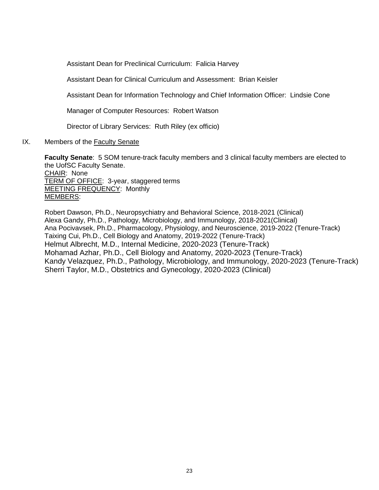Assistant Dean for Preclinical Curriculum: Falicia Harvey

Assistant Dean for Clinical Curriculum and Assessment: Brian Keisler

Assistant Dean for Information Technology and Chief Information Officer: Lindsie Cone

Manager of Computer Resources: Robert Watson

Director of Library Services: Ruth Riley (ex officio)

IX. Members of the Faculty Senate

**Faculty Senate**: 5 SOM tenure-track faculty members and 3 clinical faculty members are elected to the UofSC Faculty Senate. CHAIR: None TERM OF OFFICE: 3-year, staggered terms MEETING FREQUENCY: Monthly MEMBERS:

Robert Dawson, Ph.D., Neuropsychiatry and Behavioral Science, 2018-2021 (Clinical) Alexa Gandy, Ph.D., Pathology, Microbiology, and Immunology, 2018-2021(Clinical) Ana Pocivavsek, Ph.D., Pharmacology, Physiology, and Neuroscience, 2019-2022 (Tenure-Track) Taixing Cui, Ph.D., Cell Biology and Anatomy, 2019-2022 (Tenure-Track) Helmut Albrecht, M.D., Internal Medicine, 2020-2023 (Tenure-Track) Mohamad Azhar, Ph.D., Cell Biology and Anatomy, 2020-2023 (Tenure-Track) Kandy Velazquez, Ph.D., Pathology, Microbiology, and Immunology, 2020-2023 (Tenure-Track) Sherri Taylor, M.D., Obstetrics and Gynecology, 2020-2023 (Clinical)